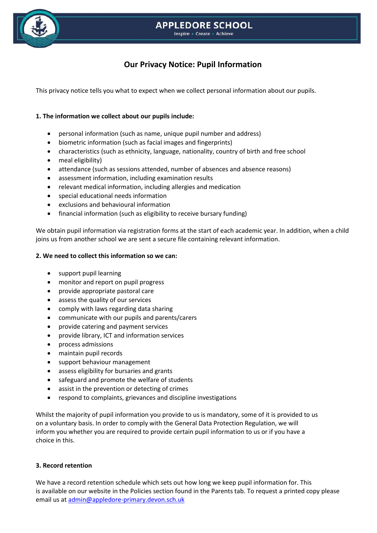

# **APPLEDORE SCHOOL**

**Inspire - Create - Achieve** 

# **Our Privacy Notice: Pupil Information**

This privacy notice tells you what to expect when we collect personal information about our pupils.

# **1. The information we collect about our pupils include:**

- personal information (such as name, unique pupil number and address)
- biometric information (such as facial images and fingerprints)
- characteristics (such as ethnicity, language, nationality, country of birth and free school
- meal eligibility)
- attendance (such as sessions attended, number of absences and absence reasons)
- assessment information, including examination results
- relevant medical information, including allergies and medication
- special educational needs information
- exclusions and behavioural information
- financial information (such as eligibility to receive bursary funding)

We obtain pupil information via registration forms at the start of each academic year. In addition, when a child joins us from another school we are sent a secure file containing relevant information.

# **2. We need to collect this information so we can:**

- support pupil learning
- monitor and report on pupil progress
- provide appropriate pastoral care
- assess the quality of our services
- comply with laws regarding data sharing
- communicate with our pupils and parents/carers
- provide catering and payment services
- provide library, ICT and information services
- process admissions
- maintain pupil records
- support behaviour management
- assess eligibility for bursaries and grants
- safeguard and promote the welfare of students
- assist in the prevention or detecting of crimes
- respond to complaints, grievances and discipline investigations

Whilst the majority of pupil information you provide to us is mandatory, some of it is provided to us on a voluntary basis. In order to comply with the General Data Protection Regulation, we will inform you whether you are required to provide certain pupil information to us or if you have a choice in this.

#### **3. Record retention**

We have a record retention schedule which sets out how long we keep pupil information for. This is available on our website in the Policies section found in the Parents tab. To request a printed copy please email us at [admin@appledore-primary.devon.sch.uk](mailto:admin@appledore-primary.devon.sch.uk)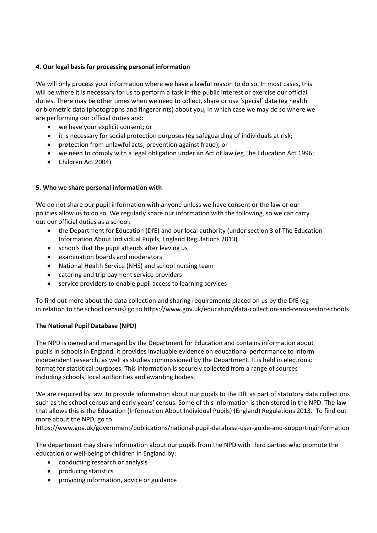# **4. Our legal basis for processing personal information**

We will only process your information where we have a lawful reason to do so. In most cases, this will be where it is necessary for us to perform a task in the public interest or exercise our official duties. There may be other times when we need to collect, share or use 'special' data (eg health or biometric data (photographs and fingerprints) about you, in which case we may do so where we are performing our official duties and:

- we have your explicit consent; or
- it is necessary for social protection purposes (eg safeguarding of individuals at risk;
- protection from unlawful acts; prevention against fraud); or
- we need to comply with a legal obligation under an Act of law (eg The Education Act 1996;
- Children Act 2004)

# **5. Who we share personal information with**

We do not share our pupil information with anyone unless we have consent or the law or our policies allow us to do so. We regularly share our information with the following, so we can carry out our official duties as a school:

- the Department for Education (DfE) and our local authority (under section 3 of The Education Information About Individual Pupils, England Regulations 2013)
- schools that the pupil attends after leaving us
- examination boards and moderators
- National Health Service (NHS) and school nursing team
- catering and trip payment service providers
- service providers to enable pupil access to learning services

To find out more about the data collection and sharing requirements placed on us by the DfE (eg in relation to the school census) go to https://www.gov.uk/education/data-collection-and-censusesfor-schools

# **The National Pupil Database (NPD)**

The NPD is owned and managed by the Department for Education and contains information about pupils in schools in England. It provides invaluable evidence on educational performance to inform independent research, as well as studies commissioned by the Department. It is held in electronic format for statistical purposes. This information is securely collected from a range of sources including schools, local authorities and awarding bodies.

We are required by law, to provide information about our pupils to the DfE as part of statutory data collections such as the school census and early years' census. Some of this information is then stored in the NPD. The law that allows this is the Education (Information About Individual Pupils) (England) Regulations 2013. To find out more about the NPD, go to

https://www.gov.uk/government/publications/national-pupil-database-user-guide-and-supportinginformation

The department may share information about our pupils from the NPD with third parties who promote the education or well-being of children in England by:

- conducting research or analysis
- producing statistics
- providing information, advice or guidance